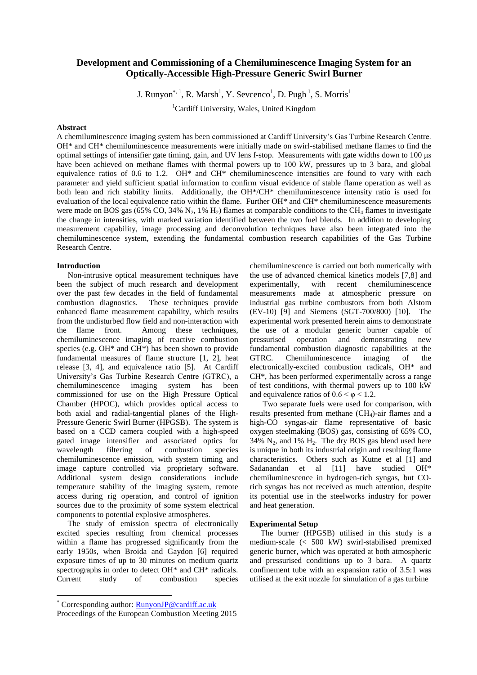# **Development and Commissioning of a Chemiluminescence Imaging System for an Optically-Accessible High-Pressure Generic Swirl Burner**

J. Runyon<sup>\*, 1</sup>, R. Marsh<sup>1</sup>, Y. Sevcenco<sup>1</sup>, D. Pugh<sup>1</sup>, S. Morris<sup>1</sup>

<sup>1</sup>Cardiff University, Wales, United Kingdom

## **Abstract**

A chemiluminescence imaging system has been commissioned at Cardiff University's Gas Turbine Research Centre. OH\* and CH\* chemiluminescence measurements were initially made on swirl-stabilised methane flames to find the optimal settings of intensifier gate timing, gain, and UV lens f-stop. Measurements with gate widths down to 100 μs have been achieved on methane flames with thermal powers up to 100 kW, pressures up to 3 bara, and global equivalence ratios of 0.6 to 1.2. OH $*$  and CH $*$  chemiluminescence intensities are found to vary with each parameter and yield sufficient spatial information to confirm visual evidence of stable flame operation as well as both lean and rich stability limits. Additionally, the OH\*/CH\* chemiluminescence intensity ratio is used for evaluation of the local equivalence ratio within the flame. Further OH\* and CH\* chemiluminescence measurements were made on BOS gas (65% CO, 34%  $N_2$ , 1% H<sub>2</sub>) flames at comparable conditions to the CH<sub>4</sub> flames to investigate the change in intensities, with marked variation identified between the two fuel blends. In addition to developing measurement capability, image processing and deconvolution techniques have also been integrated into the chemiluminescence system, extending the fundamental combustion research capabilities of the Gas Turbine Research Centre.

## **Introduction**

Non-intrusive optical measurement techniques have been the subject of much research and development over the past few decades in the field of fundamental combustion diagnostics. These techniques provide enhanced flame measurement capability, which results from the undisturbed flow field and non-interaction with the flame front. Among these techniques, chemiluminescence imaging of reactive combustion species (e.g. OH\* and CH\*) has been shown to provide fundamental measures of flame structure [1, 2], heat release [3, 4], and equivalence ratio [5]. At Cardiff University's Gas Turbine Research Centre (GTRC), a chemiluminescence imaging system has been commissioned for use on the High Pressure Optical Chamber (HPOC), which provides optical access to both axial and radial-tangential planes of the High-Pressure Generic Swirl Burner (HPGSB). The system is based on a CCD camera coupled with a high-speed gated image intensifier and associated optics for wavelength filtering of combustion species chemiluminescence emission, with system timing and image capture controlled via proprietary software. Additional system design considerations include temperature stability of the imaging system, remote access during rig operation, and control of ignition sources due to the proximity of some system electrical components to potential explosive atmospheres.

The study of emission spectra of electronically excited species resulting from chemical processes within a flame has progressed significantly from the early 1950s, when Broida and Gaydon [6] required exposure times of up to 30 minutes on medium quartz spectrographs in order to detect OH\* and CH\* radicals. Current study of combustion species

 $\overline{a}$ 

chemiluminescence is carried out both numerically with the use of advanced chemical kinetics models [7,8] and<br>experimentally, with recent chemiluminescence chemiluminescence measurements made at atmospheric pressure on industrial gas turbine combustors from both Alstom (EV-10) [9] and Siemens (SGT-700/800) [10]. The experimental work presented herein aims to demonstrate the use of a modular generic burner capable of pressurised operation and demonstrating new fundamental combustion diagnostic capabilities at the GTRC. Chemiluminescence imaging of the electronically-excited combustion radicals, OH\* and CH\*, has been performed experimentally across a range of test conditions, with thermal powers up to 100 kW and equivalence ratios of  $0.6 < \varphi < 1.2$ .

Two separate fuels were used for comparison, with results presented from methane (CH<sub>4</sub>)-air flames and a high-CO syngas-air flame representative of basic oxygen steelmaking (BOS) gas, consisting of 65% CO,  $34\%$  N<sub>2</sub>, and  $1\%$  H<sub>2</sub>. The dry BOS gas blend used here is unique in both its industrial origin and resulting flame characteristics. Others such as Kutne et al [1] and Sadanandan et al [11] have studied OH\* chemiluminescence in hydrogen-rich syngas, but COrich syngas has not received as much attention, despite its potential use in the steelworks industry for power and heat generation.

#### **Experimental Setup**

The burner (HPGSB) utilised in this study is a medium-scale (< 500 kW) swirl-stabilised premixed generic burner, which was operated at both atmospheric and pressurised conditions up to 3 bara. A quartz confinement tube with an expansion ratio of 3.5:1 was utilised at the exit nozzle for simulation of a gas turbine

Corresponding author: [RunyonJP@cardiff.ac.uk](mailto:blake@myadress.com)

Proceedings of the European Combustion Meeting 2015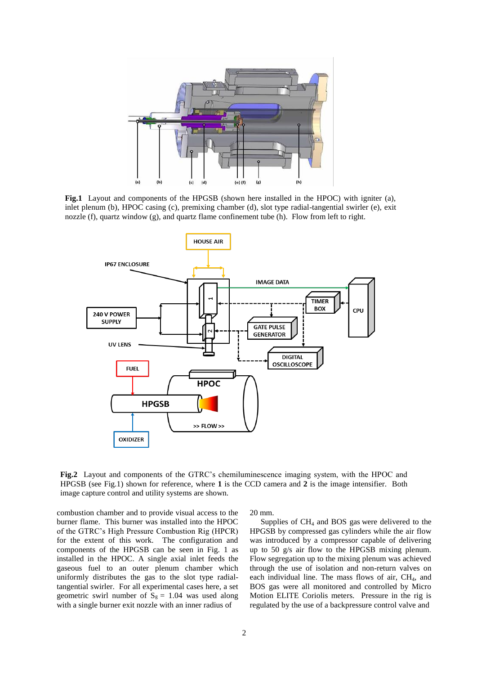

**Fig.1** Layout and components of the HPGSB (shown here installed in the HPOC) with igniter (a), inlet plenum (b), HPOC casing (c), premixing chamber (d), slot type radial-tangential swirler (e), exit nozzle (f), quartz window (g), and quartz flame confinement tube (h). Flow from left to right.



**Fig.2** Layout and components of the GTRC's chemiluminescence imaging system, with the HPOC and HPGSB (see Fig.1) shown for reference, where **1** is the CCD camera and **2** is the image intensifier. Both image capture control and utility systems are shown.

combustion chamber and to provide visual access to the burner flame. This burner was installed into the HPOC of the GTRC's High Pressure Combustion Rig (HPCR) for the extent of this work. The configuration and components of the HPGSB can be seen in Fig. 1 as installed in the HPOC. A single axial inlet feeds the gaseous fuel to an outer plenum chamber which uniformly distributes the gas to the slot type radialtangential swirler. For all experimental cases here, a set geometric swirl number of  $S_g = 1.04$  was used along with a single burner exit nozzle with an inner radius of

20 mm.

Supplies of  $CH<sub>4</sub>$  and BOS gas were delivered to the HPGSB by compressed gas cylinders while the air flow was introduced by a compressor capable of delivering up to 50 g/s air flow to the HPGSB mixing plenum. Flow segregation up to the mixing plenum was achieved through the use of isolation and non-return valves on each individual line. The mass flows of air,  $CH<sub>4</sub>$ , and BOS gas were all monitored and controlled by Micro Motion ELITE Coriolis meters. Pressure in the rig is regulated by the use of a backpressure control valve and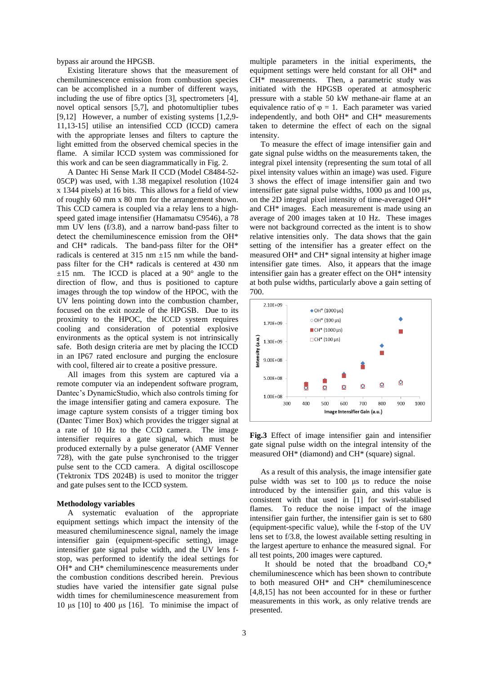bypass air around the HPGSB.

Existing literature shows that the measurement of chemiluminescence emission from combustion species can be accomplished in a number of different ways, including the use of fibre optics [3], spectrometers [4], novel optical sensors [5,7], and photomultiplier tubes [9,12] However, a number of existing systems [1,2,9- 11,13-15] utilise an intensified CCD (ICCD) camera with the appropriate lenses and filters to capture the light emitted from the observed chemical species in the flame. A similar ICCD system was commissioned for this work and can be seen diagrammatically in Fig. 2.

A Dantec Hi Sense Mark II CCD (Model C8484-52- 05CP) was used, with 1.38 megapixel resolution (1024 x 1344 pixels) at 16 bits. This allows for a field of view of roughly 60 mm x 80 mm for the arrangement shown. This CCD camera is coupled via a relay lens to a highspeed gated image intensifier (Hamamatsu C9546), a 78 mm UV lens (f/3.8), and a narrow band-pass filter to detect the chemiluminescence emission from the OH\* and CH\* radicals. The band-pass filter for the OH\* radicals is centered at  $315 \text{ nm } \pm 15 \text{ nm}$  while the bandpass filter for the CH\* radicals is centered at 430 nm  $\pm 15$  nm. The ICCD is placed at a 90 $^{\circ}$  angle to the direction of flow, and thus is positioned to capture images through the top window of the HPOC, with the UV lens pointing down into the combustion chamber, focused on the exit nozzle of the HPGSB. Due to its proximity to the HPOC, the ICCD system requires cooling and consideration of potential explosive environments as the optical system is not intrinsically safe. Both design criteria are met by placing the ICCD in an IP67 rated enclosure and purging the enclosure with cool, filtered air to create a positive pressure.

All images from this system are captured via a remote computer via an independent software program, Dantec's DynamicStudio, which also controls timing for the image intensifier gating and camera exposure. The image capture system consists of a trigger timing box (Dantec Timer Box) which provides the trigger signal at a rate of 10 Hz to the CCD camera. The image intensifier requires a gate signal, which must be produced externally by a pulse generator (AMF Venner 728), with the gate pulse synchronised to the trigger pulse sent to the CCD camera. A digital oscilloscope (Tektronix TDS 2024B) is used to monitor the trigger and gate pulses sent to the ICCD system.

## **Methodology variables**

A systematic evaluation of the appropriate equipment settings which impact the intensity of the measured chemiluminescence signal, namely the image intensifier gain (equipment-specific setting), image intensifier gate signal pulse width, and the UV lens fstop, was performed to identify the ideal settings for OH\* and CH\* chemiluminescence measurements under the combustion conditions described herein. Previous studies have varied the intensifier gate signal pulse width times for chemiluminescence measurement from 10 μs  $[10]$  to 400 μs  $[16]$ . To minimise the impact of

multiple parameters in the initial experiments, the equipment settings were held constant for all OH\* and CH\* measurements. Then, a parametric study was initiated with the HPGSB operated at atmospheric pressure with a stable 50 kW methane-air flame at an equivalence ratio of  $\varphi = 1$ . Each parameter was varied independently, and both OH\* and CH\* measurements taken to determine the effect of each on the signal intensity.

To measure the effect of image intensifier gain and gate signal pulse widths on the measurements taken, the integral pixel intensity (representing the sum total of all pixel intensity values within an image) was used. Figure 3 shows the effect of image intensifier gain and two intensifier gate signal pulse widths, 1000 μs and 100 μs, on the 2D integral pixel intensity of time-averaged OH\* and CH\* images. Each measurement is made using an average of 200 images taken at 10 Hz. These images were not background corrected as the intent is to show relative intensities only. The data shows that the gain setting of the intensifier has a greater effect on the measured OH\* and CH\* signal intensity at higher image intensifier gate times. Also, it appears that the image intensifier gain has a greater effect on the OH\* intensity at both pulse widths, particularly above a gain setting of 700.



**Fig.3** Effect of image intensifier gain and intensifier gate signal pulse width on the integral intensity of the measured OH\* (diamond) and CH\* (square) signal.

As a result of this analysis, the image intensifier gate pulse width was set to 100 μs to reduce the noise introduced by the intensifier gain, and this value is consistent with that used in [1] for swirl-stabilised flames. To reduce the noise impact of the image intensifier gain further, the intensifier gain is set to 680 (equipment-specific value), while the f-stop of the UV lens set to f/3.8, the lowest available setting resulting in the largest aperture to enhance the measured signal. For all test points, 200 images were captured.

It should be noted that the broadband  $CO_2^*$ chemiluminescence which has been shown to contribute to both measured OH\* and CH\* chemiluminescence [4,8,15] has not been accounted for in these or further measurements in this work, as only relative trends are presented.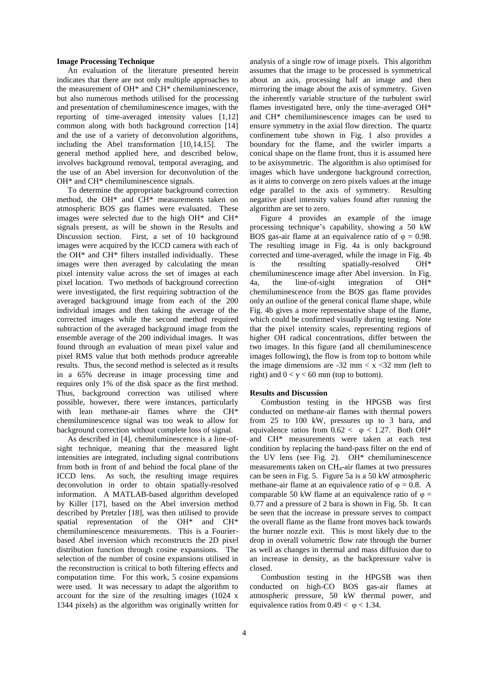## **Image Processing Technique**

An evaluation of the literature presented herein indicates that there are not only multiple approaches to the measurement of OH\* and CH\* chemiluminescence, but also numerous methods utilised for the processing and presentation of chemiluminescence images, with the reporting of time-averaged intensity values [1,12] common along with both background correction [14] and the use of a variety of deconvolution algorithms, including the Abel transformation [10,14,15]. The general method applied here, and described below, involves background removal, temporal averaging, and the use of an Abel inversion for deconvolution of the OH\* and CH\* chemiluminescence signals.

To determine the appropriate background correction method, the OH\* and CH\* measurements taken on atmospheric BOS gas flames were evaluated. These images were selected due to the high OH\* and CH\* signals present, as will be shown in the Results and Discussion section. First, a set of 10 background images were acquired by the ICCD camera with each of the OH\* and CH\* filters installed individually. These images were then averaged by calculating the mean pixel intensity value across the set of images at each pixel location. Two methods of background correction were investigated, the first requiring subtraction of the averaged background image from each of the 200 individual images and then taking the average of the corrected images while the second method required subtraction of the averaged background image from the ensemble average of the 200 individual images. It was found through an evaluation of mean pixel value and pixel RMS value that both methods produce agreeable results. Thus, the second method is selected as it results in a 65% decrease in image processing time and requires only 1% of the disk space as the first method. Thus, background correction was utilised where possible, however, there were instances, particularly with lean methane-air flames where the CH\* chemiluminescence signal was too weak to allow for background correction without complete loss of signal.

As described in [4], chemiluminescence is a line-ofsight technique, meaning that the measured light intensities are integrated, including signal contributions from both in front of and behind the focal plane of the ICCD lens. As such, the resulting image requires deconvolution in order to obtain spatially-resolved information. A MATLAB-based algorithm developed by Killer [17], based on the Abel inversion method described by Pretzler [18], was then utilised to provide spatial representation of the OH\* and CH\* chemiluminescence measurements. This is a Fourierbased Abel inversion which reconstructs the 2D pixel distribution function through cosine expansions. The selection of the number of cosine expansions utilised in the reconstruction is critical to both filtering effects and computation time. For this work, 5 cosine expansions were used. It was necessary to adapt the algorithm to account for the size of the resulting images (1024 x 1344 pixels) as the algorithm was originally written for

analysis of a single row of image pixels. This algorithm assumes that the image to be processed is symmetrical about an axis, processing half an image and then mirroring the image about the axis of symmetry. Given the inherently variable structure of the turbulent swirl flames investigated here, only the time-averaged OH\* and CH\* chemiluminescence images can be used to ensure symmetry in the axial flow direction. The quartz confinement tube shown in Fig. 1 also provides a boundary for the flame, and the swirler imparts a conical shape on the flame front, thus it is assumed here to be axisymmetric. The algorithm is also optimised for images which have undergone background correction, as it aims to converge on zero pixels values at the image edge parallel to the axis of symmetry. Resulting negative pixel intensity values found after running the algorithm are set to zero.

Figure 4 provides an example of the image processing technique's capability, showing a 50 kW BOS gas-air flame at an equivalence ratio of  $\varphi = 0.98$ . The resulting image in Fig. 4a is only background corrected and time-averaged, while the image in Fig. 4b is the resulting spatially-resolved OH\* chemiluminescence image after Abel inversion. In Fig. 4a, the line-of-sight integration of OH\* chemiluminescence from the BOS gas flame provides only an outline of the general conical flame shape, while Fig. 4b gives a more representative shape of the flame, which could be confirmed visually during testing. Note that the pixel intensity scales, representing regions of higher OH radical concentrations, differ between the two images. In this figure (and all chemiluminescence images following), the flow is from top to bottom while the image dimensions are  $-32$  mm  $\lt x \lt 32$  mm (left to right) and  $0 < y < 60$  mm (top to bottom).

## **Results and Discussion**

Combustion testing in the HPGSB was first conducted on methane-air flames with thermal powers from 25 to 100 kW, pressures up to 3 bara, and equivalence ratios from  $0.62 < \varphi < 1.27$ . Both OH\* and CH\* measurements were taken at each test condition by replacing the band-pass filter on the end of the UV lens (see Fig. 2). OH\* chemiluminescence measurements taken on CH<sub>4</sub>-air flames at two pressures can be seen in Fig. 5. Figure 5a is a 50 kW atmospheric methane-air flame at an equivalence ratio of  $\varphi = 0.8$ . A comparable 50 kW flame at an equivalence ratio of  $\varphi$  = 0.77 and a pressure of 2 bara is shown in Fig. 5b. It can be seen that the increase in pressure serves to compact the overall flame as the flame front moves back towards the burner nozzle exit. This is most likely due to the drop in overall volumetric flow rate through the burner as well as changes in thermal and mass diffusion due to an increase in density, as the backpressure valve is closed.

Combustion testing in the HPGSB was then conducted on high-CO BOS gas-air flames at atmospheric pressure, 50 kW thermal power, and equivalence ratios from  $0.49 < \varphi < 1.34$ .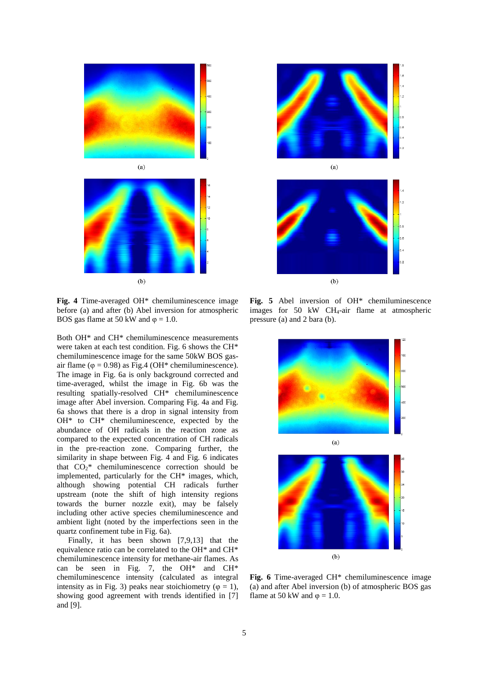



**Fig. 4** Time-averaged OH\* chemiluminescence image before (a) and after (b) Abel inversion for atmospheric BOS gas flame at 50 kW and  $\varphi = 1.0$ .

Both OH\* and CH\* chemiluminescence measurements were taken at each test condition. Fig. 6 shows the CH\* chemiluminescence image for the same 50kW BOS gasair flame ( $\varphi$  = 0.98) as Fig.4 (OH\* chemiluminescence). The image in Fig. 6a is only background corrected and time-averaged, whilst the image in Fig. 6b was the resulting spatially-resolved CH\* chemiluminescence image after Abel inversion. Comparing Fig. 4a and Fig. 6a shows that there is a drop in signal intensity from OH\* to CH\* chemiluminescence, expected by the abundance of OH radicals in the reaction zone as compared to the expected concentration of CH radicals in the pre-reaction zone. Comparing further, the similarity in shape between Fig. 4 and Fig. 6 indicates that  $CO_2^*$  chemiluminescence correction should be implemented, particularly for the CH\* images, which, although showing potential CH radicals further upstream (note the shift of high intensity regions towards the burner nozzle exit), may be falsely including other active species chemiluminescence and ambient light (noted by the imperfections seen in the quartz confinement tube in Fig. 6a).

Finally, it has been shown [7,9,13] that the equivalence ratio can be correlated to the OH\* and CH\* chemiluminescence intensity for methane-air flames. As can be seen in Fig. 7, the OH\* and CH\* chemiluminescence intensity (calculated as integral intensity as in Fig. 3) peaks near stoichiometry ( $\varphi = 1$ ), showing good agreement with trends identified in [7] and [9].



 $(b)$ 

**Fig. 5** Abel inversion of OH\* chemiluminescence images for 50 kW CH4-air flame at atmospheric pressure (a) and 2 bara (b).



**Fig. 6** Time-averaged CH\* chemiluminescence image (a) and after Abel inversion (b) of atmospheric BOS gas flame at 50 kW and  $\varphi = 1.0$ .